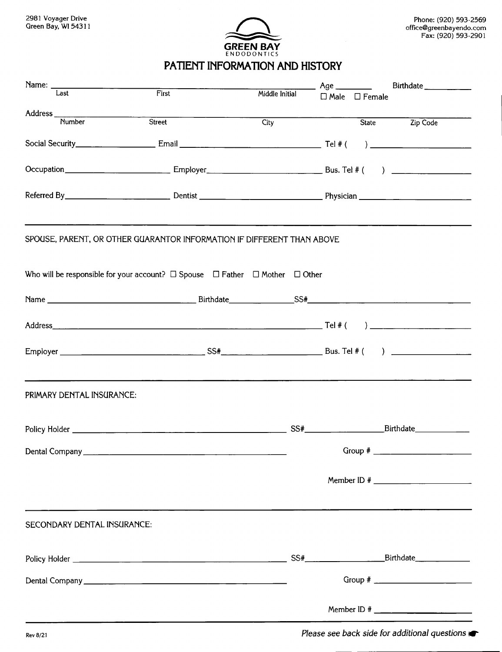

## **PATIENT INFORMATION AND HISTORY**

|                             |                                   |      | Birthdate _____________                                                                                                                                                                                                                                                                                                                                                          |
|-----------------------------|-----------------------------------|------|----------------------------------------------------------------------------------------------------------------------------------------------------------------------------------------------------------------------------------------------------------------------------------------------------------------------------------------------------------------------------------|
|                             | Middle Initial                    |      |                                                                                                                                                                                                                                                                                                                                                                                  |
|                             |                                   |      |                                                                                                                                                                                                                                                                                                                                                                                  |
|                             |                                   |      | State Zip Code                                                                                                                                                                                                                                                                                                                                                                   |
|                             |                                   |      |                                                                                                                                                                                                                                                                                                                                                                                  |
|                             |                                   |      |                                                                                                                                                                                                                                                                                                                                                                                  |
|                             |                                   |      |                                                                                                                                                                                                                                                                                                                                                                                  |
|                             |                                   |      |                                                                                                                                                                                                                                                                                                                                                                                  |
|                             |                                   |      |                                                                                                                                                                                                                                                                                                                                                                                  |
|                             |                                   |      |                                                                                                                                                                                                                                                                                                                                                                                  |
|                             |                                   |      |                                                                                                                                                                                                                                                                                                                                                                                  |
|                             |                                   |      |                                                                                                                                                                                                                                                                                                                                                                                  |
| PRIMARY DENTAL INSURANCE:   |                                   |      |                                                                                                                                                                                                                                                                                                                                                                                  |
|                             |                                   |      |                                                                                                                                                                                                                                                                                                                                                                                  |
|                             |                                   |      |                                                                                                                                                                                                                                                                                                                                                                                  |
|                             |                                   |      |                                                                                                                                                                                                                                                                                                                                                                                  |
| SECONDARY DENTAL INSURANCE: |                                   |      |                                                                                                                                                                                                                                                                                                                                                                                  |
|                             |                                   |      |                                                                                                                                                                                                                                                                                                                                                                                  |
|                             |                                   |      |                                                                                                                                                                                                                                                                                                                                                                                  |
|                             |                                   |      |                                                                                                                                                                                                                                                                                                                                                                                  |
|                             | First<br>Address Number<br>Street | City | Age $\_\_\_\_\_\_\_\_\_\_\$<br>$\Box$ Male $\Box$ Female<br>Occupation __________________________________Employer___________________________________Bus. Tel # ( ) _______________________________<br>SPOUSE, PARENT, OR OTHER GUARANTOR INFORMATION IF DIFFERENT THAN ABOVE<br>Who will be responsible for your account? $\Box$ Spouse $\Box$ Father $\Box$ Mother $\Box$ Other |

Rev 8/21 *Please see back side for additional questions* $\bullet$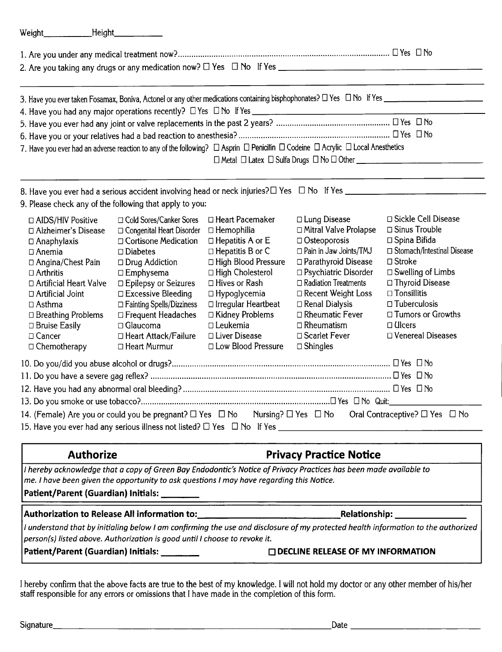| Weight Height                                                                                                                                                                                                                                                                        |                                                                                                                                                                                                                                                                                                                                                        |                                                                                                                                                                                                                                                                                                                                    |                                                                                                                                                                                                                                                                                                                                   |                                                                                                                                                                                                                                                                                                |  |  |
|--------------------------------------------------------------------------------------------------------------------------------------------------------------------------------------------------------------------------------------------------------------------------------------|--------------------------------------------------------------------------------------------------------------------------------------------------------------------------------------------------------------------------------------------------------------------------------------------------------------------------------------------------------|------------------------------------------------------------------------------------------------------------------------------------------------------------------------------------------------------------------------------------------------------------------------------------------------------------------------------------|-----------------------------------------------------------------------------------------------------------------------------------------------------------------------------------------------------------------------------------------------------------------------------------------------------------------------------------|------------------------------------------------------------------------------------------------------------------------------------------------------------------------------------------------------------------------------------------------------------------------------------------------|--|--|
|                                                                                                                                                                                                                                                                                      |                                                                                                                                                                                                                                                                                                                                                        |                                                                                                                                                                                                                                                                                                                                    |                                                                                                                                                                                                                                                                                                                                   |                                                                                                                                                                                                                                                                                                |  |  |
|                                                                                                                                                                                                                                                                                      |                                                                                                                                                                                                                                                                                                                                                        |                                                                                                                                                                                                                                                                                                                                    |                                                                                                                                                                                                                                                                                                                                   |                                                                                                                                                                                                                                                                                                |  |  |
|                                                                                                                                                                                                                                                                                      |                                                                                                                                                                                                                                                                                                                                                        |                                                                                                                                                                                                                                                                                                                                    |                                                                                                                                                                                                                                                                                                                                   |                                                                                                                                                                                                                                                                                                |  |  |
|                                                                                                                                                                                                                                                                                      |                                                                                                                                                                                                                                                                                                                                                        |                                                                                                                                                                                                                                                                                                                                    |                                                                                                                                                                                                                                                                                                                                   |                                                                                                                                                                                                                                                                                                |  |  |
|                                                                                                                                                                                                                                                                                      | 7. Have you ever had an adverse reaction to any of the following? $\Box$ Asprin $\Box$ Penicillin $\Box$ Codeine $\Box$ Acrylic $\Box$ Local Anesthetics                                                                                                                                                                                               |                                                                                                                                                                                                                                                                                                                                    |                                                                                                                                                                                                                                                                                                                                   |                                                                                                                                                                                                                                                                                                |  |  |
| 9. Please check any of the following that apply to you:                                                                                                                                                                                                                              |                                                                                                                                                                                                                                                                                                                                                        |                                                                                                                                                                                                                                                                                                                                    |                                                                                                                                                                                                                                                                                                                                   |                                                                                                                                                                                                                                                                                                |  |  |
| □ AIDS/HIV Positive<br>□ Alzheimer's Disease<br>$\Box$ Anaphylaxis<br>$\Box$ Anemia<br>□ Angina/Chest Pain<br>$\Box$ Arthritis<br>□ Artificial Heart Valve<br>□ Artificial Joint<br>$\Box$ Asthma<br>$\Box$ Breathing Problems<br>$\Box$ Bruise Easily<br>□ Cancer<br>□ Chemotherapy | □ Cold Sores/Canker Sores<br>$\Box$ Congenital Heart Disorder<br>□ Cortisone Medication<br>$\square$ Diabetes<br>$\Box$ Drug Addiction<br>$\Box$ Emphysema<br>□ Epilepsy or Seizures<br>$\Box$ Excessive Bleeding<br>$\Box$ Fainting Spells/Dizziness<br>$\Box$ Frequent Headaches<br>$\Box$ Glaucoma<br>□ Heart Attack/Failure<br>$\Box$ Heart Murmur | $\Box$ Heart Pacemaker<br>$\Box$ Hemophilia<br>$\Box$ Hepatitis A or E<br>$\Box$ Hepatitis B or C<br>□ High Blood Pressure<br>$\Box$ High Cholesterol<br>$\Box$ Hives or Rash<br>$\Box$ Hypoglycemia<br>$\Box$ Irregular Heartbeat<br>$\Box$ Kidney Problems<br>$\square$ Leukemia<br>$\Box$ Liver Disease<br>□ Low Blood Pressure | $\Box$ Lung Disease<br>Mitral Valve Prolapse<br>$\Box$ Osteoporosis<br>$\Box$ Pain in Jaw Joints/TMJ<br>□ Parathyroid Disease<br>□ Psychiatric Disorder<br>$\Box$ Radiation Treatments<br>$\Box$ Recent Weight Loss<br>$\Box$ Renal Dialysis<br>$\Box$ Rheumatic Fever<br>$\Box$ Rheumatism<br>□ Scarlet Fever<br>$\Box$ Shingles | □ Sickle Cell Disease<br>$\Box$ Sinus Trouble<br>$\Box$ Spina Bifida<br>$\Box$ Stomach/Intestinal Disease<br>$\Box$ Stroke<br>$\Box$ Swelling of Limbs<br>□ Thyroid Disease<br>$\Box$ Tonsillitis<br>$\Box$ Tuberculosis<br>□ Tumors or Growths<br>$\Box$ <i>Ulcers</i><br>□ Venereal Diseases |  |  |
|                                                                                                                                                                                                                                                                                      |                                                                                                                                                                                                                                                                                                                                                        |                                                                                                                                                                                                                                                                                                                                    |                                                                                                                                                                                                                                                                                                                                   |                                                                                                                                                                                                                                                                                                |  |  |
|                                                                                                                                                                                                                                                                                      |                                                                                                                                                                                                                                                                                                                                                        |                                                                                                                                                                                                                                                                                                                                    |                                                                                                                                                                                                                                                                                                                                   |                                                                                                                                                                                                                                                                                                |  |  |
|                                                                                                                                                                                                                                                                                      |                                                                                                                                                                                                                                                                                                                                                        |                                                                                                                                                                                                                                                                                                                                    |                                                                                                                                                                                                                                                                                                                                   |                                                                                                                                                                                                                                                                                                |  |  |
| 14. (Female) Are you or could you be pregnant? $\square$ Yes $\square$ No Nursing? $\square$ Yes $\square$ No<br>Oral Contraceptive? $\Box$ Yes $\Box$ No                                                                                                                            |                                                                                                                                                                                                                                                                                                                                                        |                                                                                                                                                                                                                                                                                                                                    |                                                                                                                                                                                                                                                                                                                                   |                                                                                                                                                                                                                                                                                                |  |  |
|                                                                                                                                                                                                                                                                                      | <b>Authorize</b><br><b>Privacy Practice Notice</b>                                                                                                                                                                                                                                                                                                     |                                                                                                                                                                                                                                                                                                                                    |                                                                                                                                                                                                                                                                                                                                   |                                                                                                                                                                                                                                                                                                |  |  |
| I hereby acknowledge that a copy of Green Bay Endodontic's Notice of Privacy Practices has been made available to<br>me. I have been given the opportunity to ask questions I may have regarding this Notice.<br>Patient/Parent (Guardian) Initials: ____                            |                                                                                                                                                                                                                                                                                                                                                        |                                                                                                                                                                                                                                                                                                                                    |                                                                                                                                                                                                                                                                                                                                   |                                                                                                                                                                                                                                                                                                |  |  |
|                                                                                                                                                                                                                                                                                      |                                                                                                                                                                                                                                                                                                                                                        |                                                                                                                                                                                                                                                                                                                                    |                                                                                                                                                                                                                                                                                                                                   |                                                                                                                                                                                                                                                                                                |  |  |

I understand that by initialing below I am confirming the use and disclosure of my protected health information to the authorizec *person(s) listed above. Authorization is good until I choose to revoke it.*

**Authorization to Release All information to: Relationship:**

**Patient/Parent (Guardian) Initials: o DECLINERELEASEOF MY INFORMATION**

I hereby confirm that the above facts are true to the best of my knowledge. I will not hold my doctor or any other member of his/her staff responsible for any errors or omissions that I have made in the completion of this form.